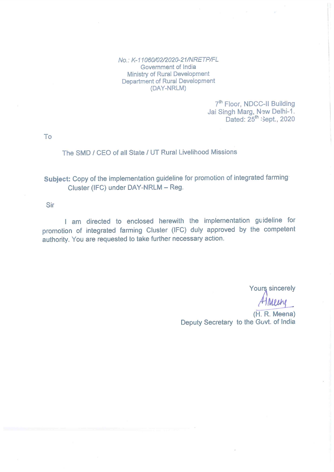No: K-11060/02/2020-21/NRETP/FL Government of India Ministry of Rural Development Department of Rural Development (DAY-NRLM)

> 7<sup>th</sup> Floor, NDCC-II Building Jai Singh Marg, New Delhi-1.<br>Dated: 25<sup>th</sup> Sept., 2020

To

#### The SMD / CEO of all State / UT Rural Livelihood Missions

# Subject: Copy of the implementation guideline for promotion of integrated farming Cluster (IFC) under DAY-NRLM - Reg.

Sir

I am directed to enclosed herewith the implementation guideline for promotion of integrated farming Cluster (IFC) duly approved by the competent authority. You are requested to take further necessary action.

**Yours sincerely** 

per

(H. R. Meena) Deputy Secretary to the Govt. of India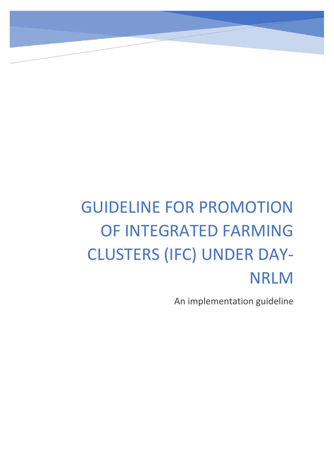# GUIDELINE FOR PROMOTION OF INTEGRATED FARMING CLUSTERS (IFC) UNDER DAY-NRLM

An implementation guideline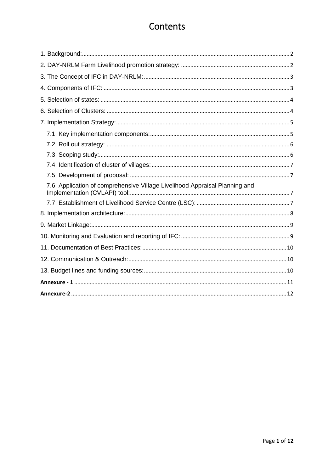# Contents

| 7.6. Application of comprehensive Village Livelihood Appraisal Planning and |
|-----------------------------------------------------------------------------|
|                                                                             |
|                                                                             |
|                                                                             |
|                                                                             |
|                                                                             |
|                                                                             |
|                                                                             |
|                                                                             |
|                                                                             |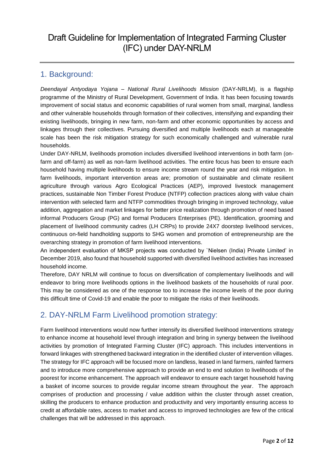# Draft Guideline for Implementation of Integrated Farming Cluster (IFC) under DAY-NRLM

## 1. Background:

*Deendayal Antyodaya Yojana – National Rural Livelihoods Mission* (DAY-NRLM), is a flagship programme of the Ministry of Rural Development, Government of India. It has been focusing towards improvement of social status and economic capabilities of rural women from small, marginal, landless and other vulnerable households through formation of their collectives, intensifying and expanding their existing livelihoods, bringing in new farm, non-farm and other economic opportunities by access and linkages through their collectives. Pursuing diversified and multiple livelihoods each at manageable scale has been the risk mitigation strategy for such economically challenged and vulnerable rural households.

Under DAY-NRLM, livelihoods promotion includes diversified livelihood interventions in both farm (onfarm and off-farm) as well as non-farm livelihood activities. The entire focus has been to ensure each household having multiple livelihoods to ensure income stream round the year and risk mitigation. In farm livelihoods, important intervention areas are; promotion of sustainable and climate resilient agriculture through various Agro Ecological Practices (AEP), improved livestock management practices, sustainable Non Timber Forest Produce (NTFP) collection practices along with value chain intervention with selected farm and NTFP commodities through bringing in improved technology, value addition, aggregation and market linkages for better price realization through promotion of need based informal Producers Group (PG) and formal Producers Enterprises (PE). Identification, grooming and placement of livelihood community cadres (LH CRPs) to provide 24X7 doorstep livelihood services, continuous on-field handholding supports to SHG women and promotion of entrepreneurship are the overarching strategy in promotion of farm livelihood interventions.

An independent evaluation of MKSP projects was conducted by `Nielsen (India) Private Limited' in December 2019, also found that household supported with diversified livelihood activities has increased household income.

Therefore, DAY NRLM will continue to focus on diversification of complementary livelihoods and will endeavor to bring more livelihoods options in the livelihood baskets of the households of rural poor. This may be considered as one of the response too to increase the income levels of the poor during this difficult time of Covid-19 and enable the poor to mitigate the risks of their livelihoods.

## 2. DAY-NRLM Farm Livelihood promotion strategy:

Farm livelihood interventions would now further intensify its diversified livelihood interventions strategy to enhance income at household level through integration and bring in synergy between the livelihood activities by promotion of Integrated Farming Cluster (IFC) approach. This includes interventions in forward linkages with strengthened backward integration in the identified cluster of intervention villages. The strategy for IFC approach will be focused more on landless, leased in land farmers, rainfed farmers and to introduce more comprehensive approach to provide an end to end solution to livelihoods of the poorest for income enhancement. The approach will endeavor to ensure each target household having a basket of income sources to provide regular income stream throughout the year. The approach comprises of production and processing / value addition within the cluster through asset creation, skilling the producers to enhance production and productivity and very importantly ensuring access to credit at affordable rates, access to market and access to improved technologies are few of the critical challenges that will be addressed in this approach.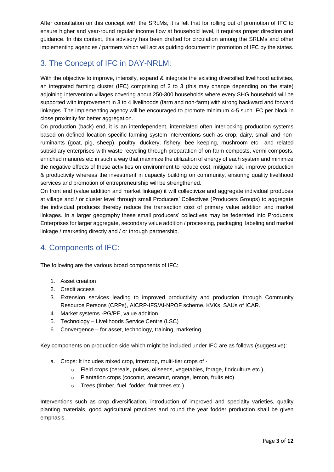After consultation on this concept with the SRLMs, it is felt that for rolling out of promotion of IFC to ensure higher and year-round regular income flow at household level, it requires proper direction and guidance. In this context, this advisory has been drafted for circulation among the SRLMs and other implementing agencies / partners which will act as guiding document in promotion of IFC by the states.

# 3. The Concept of IFC in DAY-NRLM:

With the objective to improve, intensify, expand & integrate the existing diversified livelihood activities, an integrated farming cluster (IFC) comprising of 2 to 3 (this may change depending on the state) adjoining intervention villages covering about 250-300 households where every SHG household will be supported with improvement in 3 to 4 livelihoods (farm and non-farm) with strong backward and forward linkages. The implementing agency will be encouraged to promote minimum 4-5 such IFC per block in close proximity for better aggregation.

On production (back) end, it is an interdependent, interrelated often interlocking production systems based on defined location specific farming system interventions such as crop, dairy, small and nonruminants (goat, pig, sheep), poultry, duckery, fishery, bee keeping, mushroom etc and related subsidiary enterprises with waste recycling through preparation of on-farm composts, vermi-composts, enriched manures etc in such a way that maximize the utilization of energy of each system and minimize the negative effects of these activities on environment to reduce cost, mitigate risk, improve production & productivity whereas the investment in capacity building on community, ensuring quality livelihood services and promotion of entrepreneurship will be strengthened.

On front end (value addition and market linkage) it will collectivize and aggregate individual produces at village and / or cluster level through small Producers' Collectives (Producers Groups) to aggregate the individual produces thereby reduce the transaction cost of primary value addition and market linkages. In a larger geography these small producers' collectives may be federated into Producers Enterprises for larger aggregate, secondary value addition / processing, packaging, labeling and market linkage / marketing directly and / or through partnership.

# 4. Components of IFC:

The following are the various broad components of IFC:

- 1. Asset creation
- 2. Credit access
- 3. Extension services leading to improved productivity and production through Community Resource Persons (CRPs), AICRP-IFS/AI-NPOF scheme, KVKs, SAUs of ICAR.
- 4. Market systems -PG/PE, value addition
- 5. Technology Livelihoods Service Centre (LSC)
- 6. Convergence for asset, technology, training, marketing

Key components on production side which might be included under IFC are as follows (suggestive):

- a. Crops: It includes mixed crop, intercrop, multi-tier crops of
	- o Field crops (cereals, pulses, oilseeds, vegetables, forage, floriculture etc.),
	- o Plantation crops (coconut, arecanut, orange, lemon, fruits etc)
	- o Trees (timber, fuel, fodder, fruit trees etc.)

Interventions such as crop diversification, introduction of improved and specialty varieties, quality planting materials, good agricultural practices and round the year fodder production shall be given emphasis.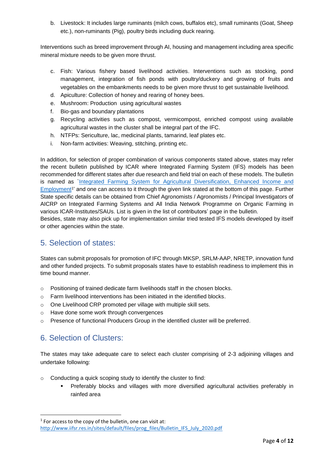b. Livestock: It includes large ruminants (milch cows, buffalos etc), small ruminants (Goat, Sheep etc.), non-ruminants (Pig), poultry birds including duck rearing.

Interventions such as breed improvement through AI, housing and management including area specific mineral mixture needs to be given more thrust.

- c. Fish: Various fishery based livelihood activities. Interventions such as stocking, pond management, integration of fish ponds with poultry/duckery and growing of fruits and vegetables on the embankments needs to be given more thrust to get sustainable livelihood.
- d. Apiculture: Collection of honey and rearing of honey bees.
- e. Mushroom: Production using agricultural wastes
- f. Bio-gas and boundary plantations
- g. Recycling activities such as compost, vermicompost, enriched compost using available agricultural wastes in the cluster shall be integral part of the IFC.
- h. NTFPs: Sericulture, lac, medicinal plants, tamarind, leaf plates etc.
- i. Non-farm activities: Weaving, stitching, printing etc.

In addition, for selection of proper combination of various components stated above, states may refer the recent bulletin published by ICAR where Integrated Farming System (IFS) models has been recommended for different states after due research and field trial on each of these models. The bulletin is named as `Integrated Farming System for Agricultural Diversification, Enhanced Income and [Employment](http://www.iifsr.res.in/sites/default/files/prog_files/Bulletin_IFS_July_2020.pdf)<sup>1</sup> and one can access to it through the given link stated at the bottom of this page. Further State specific details can be obtained from Chief Agronomists / Agronomists / Principal Investigators of AICRP on Integrated Farming Systems and All India Network Programme on Organic Farming in various ICAR-Institutes/SAUs. List is given in the list of contributors' page in the bulletin.

Besides, state may also pick up for implementation similar tried tested IFS models developed by itself or other agencies within the state.

#### 5. Selection of states:

States can submit proposals for promotion of IFC through MKSP, SRLM-AAP, NRETP, innovation fund and other funded projects. To submit proposals states have to establish readiness to implement this in time bound manner.

- o Positioning of trained dedicate farm livelihoods staff in the chosen blocks.
- o Farm livelihood interventions has been initiated in the identified blocks.
- o One Livelihood CRP promoted per village with multiple skill sets.
- o Have done some work through convergences
- $\circ$  Presence of functional Producers Group in the identified cluster will be preferred.

## 6. Selection of Clusters:

**.** 

The states may take adequate care to select each cluster comprising of 2-3 adjoining villages and undertake following:

- o Conducting a quick scoping study to identify the cluster to find:
	- Preferably blocks and villages with more diversified agricultural activities preferably in rainfed area

 $1$  For access to the copy of the bulletin, one can visit at: [http://www.iifsr.res.in/sites/default/files/prog\\_files/Bulletin\\_IFS\\_July\\_2020.pdf](http://www.iifsr.res.in/sites/default/files/prog_files/Bulletin_IFS_July_2020.pdf)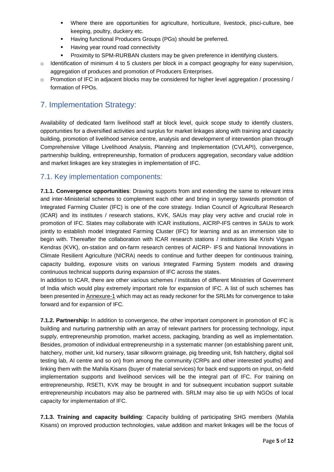- Where there are opportunities for agriculture, horticulture, livestock, pisci-culture, bee keeping, poultry, duckery etc.
- **Having functional Producers Groups (PGs) should be preferred.**
- Having year round road connectivity
- Proximity to SPM-RURBAN clusters may be given preference in identifying clusters.
- $\circ$  Identification of minimum 4 to 5 clusters per block in a compact geography for easy supervision, aggregation of produces and promotion of Producers Enterprises.
- $\circ$  Promotion of IFC in adjacent blocks may be considered for higher level aggregation / processing / formation of FPOs.

# 7. Implementation Strategy:

Availability of dedicated farm livelihood staff at block level, quick scope study to identify clusters, opportunities for a diversified activities and surplus for market linkages along with training and capacity building, promotion of livelihood service centre, analysis and development of intervention plan through Comprehensive Village Livelihood Analysis, Planning and Implementation (CVLAPI), convergence, partnership building, entrepreneurship, formation of producers aggregation, secondary value addition and market linkages are key strategies in implementation of IFC.

#### 7.1. Key implementation components:

**7.1.1. Convergence opportunities**: Drawing supports from and extending the same to relevant intra and inter-Ministerial schemes to complement each other and bring in synergy towards promotion of Integrated Farming Cluster (IFC) is one of the core strategy. Indian Council of Agricultural Research (ICAR) and its institutes / research stations, KVK, SAUs may play very active and crucial role in promotion of IFC. States may collaborate with ICAR institutions, AICRP-IFS centres in SAUs to work jointly to establish model Integrated Farming Cluster (IFC) for learning and as an immersion site to begin with. Thereafter the collaboration with ICAR research stations / institutions like Krishi Vigyan Kendras (KVK), on-station and on-farm research centres of AICRP- IFS and National Innovations in Climate Resilient Agriculture (NICRA) needs to continue and further deepen for continuous training, capacity building, exposure visits on various Integrated Farming System models and drawing continuous technical supports during expansion of IFC across the states.

In addition to ICAR, there are other various schemes / institutes of different Ministries of Government of India which would play extremely important role for expansion of IFC. A list of such schemes has been presented in Annexure-1 which may act as ready reckoner for the SRLMs for convergence to take forward and for expansion of IFC.

**7.1.2. Partnership:** In addition to convergence, the other important component in promotion of IFC is building and nurturing partnership with an array of relevant partners for processing technology, input supply, entrepreneurship promotion, market access, packaging, branding as well as implementation. Besides, promotion of individual entrepreneurship in a systematic manner (on establishing parent unit, hatchery, mother unit, kid nursery, tasar silkworm grainage, pig breeding unit, fish hatchery, digital soil testing lab, AI centre and so on) from among the community (CRPs and other interested youths) and linking them with the Mahila Kisans (buyer of material services) for back end supports on input, on-field implementation supports and livelihood services will be the integral part of IFC. For training on entrepreneurship, RSETI, KVK may be brought in and for subsequent incubation support suitable entrepreneurship incubators may also be partnered with. SRLM may also tie up with NGOs of local capacity for implementation of IFC.

**7.1.3. Training and capacity building**: Capacity building of participating SHG members (Mahila Kisans) on improved production technologies, value addition and market linkages will be the focus of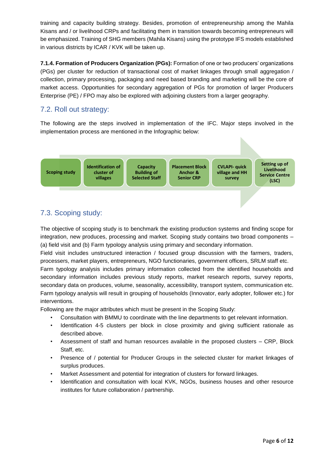training and capacity building strategy. Besides, promotion of entrepreneurship among the Mahila Kisans and / or livelihood CRPs and facilitating them in transition towards becoming entrepreneurs will be emphasized. Training of SHG members (Mahila Kisans) using the prototype IFS models established in various districts by ICAR / KVK will be taken up.

**7.1.4. Formation of Producers Organization (PGs):** Formation of one or two producers' organizations (PGs) per cluster for reduction of transactional cost of market linkages through small aggregation / collection, primary processing, packaging and need based branding and marketing will be the core of market access. Opportunities for secondary aggregation of PGs for promotion of larger Producers Enterprise (PE) / FPO may also be explored with adjoining clusters from a larger geography.

#### 7.2. Roll out strategy:

The following are the steps involved in implementation of the IFC. Major steps involved in the implementation process are mentioned in the Infographic below:



# 7.3. Scoping study:

The objective of scoping study is to benchmark the existing production systems and finding scope for integration, new produces, processing and market. Scoping study contains two broad components – (a) field visit and (b) Farm typology analysis using primary and secondary information.

Field visit includes unstructured interaction / focused group discussion with the farmers, traders, processers, market players, entrepreneurs, NGO functionaries, government officers, SRLM staff etc.

Farm typology analysis includes primary information collected from the identified households and secondary information includes previous study reports, market research reports, survey reports, secondary data on produces, volume, seasonality, accessibility, transport system, communication etc. Farm typology analysis will result in grouping of households (Innovator, early adopter, follower etc.) for interventions.

Following are the major attributes which must be present in the Scoping Study:

- Consultation with BMMU to coordinate with the line departments to get relevant information.
- Identification 4-5 clusters per block in close proximity and giving sufficient rationale as described above.
- Assessment of staff and human resources available in the proposed clusters CRP, Block Staff, etc.
- Presence of / potential for Producer Groups in the selected cluster for market linkages of surplus produces.
- Market Assessment and potential for integration of clusters for forward linkages.
- Identification and consultation with local KVK, NGOs, business houses and other resource institutes for future collaboration / partnership.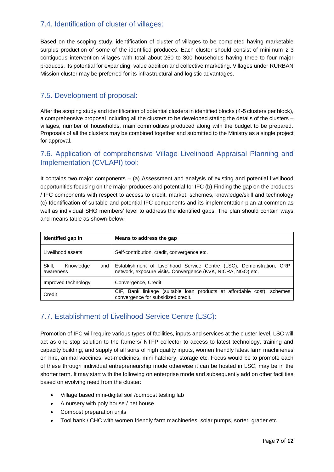#### 7.4. Identification of cluster of villages:

Based on the scoping study, identification of cluster of villages to be completed having marketable surplus production of some of the identified produces. Each cluster should consist of minimum 2-3 contiguous intervention villages with total about 250 to 300 households having three to four major produces, its potential for expanding, value addition and collective marketing. Villages under RURBAN Mission cluster may be preferred for its infrastructural and logistic advantages.

#### 7.5. Development of proposal:

After the scoping study and identification of potential clusters in identified blocks (4-5 clusters per block), a comprehensive proposal including all the clusters to be developed stating the details of the clusters – villages, number of households, main commodities produced along with the budget to be prepared. Proposals of all the clusters may be combined together and submitted to the Ministry as a single project for approval.

#### 7.6. Application of comprehensive Village Livelihood Appraisal Planning and Implementation (CVLAPI) tool:

It contains two major components – (a) Assessment and analysis of existing and potential livelihood opportunities focusing on the major produces and potential for IFC (b) Finding the gap on the produces / IFC components with respect to access to credit, market, schemes, knowledge/skill and technology (c) Identification of suitable and potential IFC components and its implementation plan at common as well as individual SHG members' level to address the identified gaps. The plan should contain ways and means table as shown below:

| Identified gap in                       | Means to address the gap                                                                                                             |
|-----------------------------------------|--------------------------------------------------------------------------------------------------------------------------------------|
| Livelihood assets                       | Self-contribution, credit, convergence etc.                                                                                          |
| Skill.<br>Knowledge<br>and<br>awareness | Establishment of Livelihood Service Centre (LSC), Demonstration, CRP<br>network, exposure visits. Convergence (KVK, NICRA, NGO) etc. |
| Improved technology                     | Convergence, Credit                                                                                                                  |
| Credit                                  | CIF, Bank linkage (suitable loan products at affordable cost), schemes<br>convergence for subsidized credit.                         |

## 7.7. Establishment of Livelihood Service Centre (LSC):

Promotion of IFC will require various types of facilities, inputs and services at the cluster level. LSC will act as one stop solution to the farmers/ NTFP collector to access to latest technology, training and capacity building, and supply of all sorts of high quality inputs, women friendly latest farm machineries on hire, animal vaccines, vet-medicines, mini hatchery, storage etc. Focus would be to promote each of these through individual entrepreneurship mode otherwise it can be hosted in LSC, may be in the shorter term. It may start with the following on enterprise mode and subsequently add on other facilities based on evolving need from the cluster:

- Village based mini-digital soil /compost testing lab
- A nursery with poly house / net house
- Compost preparation units
- Tool bank / CHC with women friendly farm machineries, solar pumps, sorter, grader etc.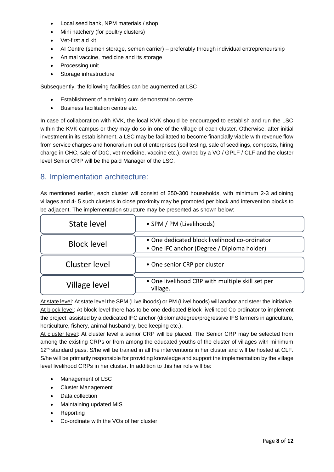- Local seed bank, NPM materials / shop
- Mini hatchery (for poultry clusters)
- Vet-first aid kit
- AI Centre (semen storage, semen carrier) preferably through individual entrepreneurship
- Animal vaccine, medicine and its storage
- Processing unit
- Storage infrastructure

Subsequently, the following facilities can be augmented at LSC

- Establishment of a training cum demonstration centre
- Business facilitation centre etc.

In case of collaboration with KVK, the local KVK should be encouraged to establish and run the LSC within the KVK campus or they may do so in one of the village of each cluster. Otherwise, after initial investment in its establishment, a LSC may be facilitated to become financially viable with revenue flow from service charges and honorarium out of enterprises (soil testing, sale of seedlings, composts, hiring charge in CHC, sale of DoC, vet-medicine, vaccine etc.), owned by a VO / GPLF / CLF and the cluster level Senior CRP will be the paid Manager of the LSC.

#### 8. Implementation architecture:

As mentioned earlier, each cluster will consist of 250-300 households, with minimum 2-3 adjoining villages and 4- 5 such clusters in close proximity may be promoted per block and intervention blocks to be adjacent. The implementation structure may be presented as shown below:

| State level        | • SPM / PM (Livelihoods)                                                                    |
|--------------------|---------------------------------------------------------------------------------------------|
| <b>Block level</b> | • One dedicated block livelihood co-ordinator<br>• One IFC anchor (Degree / Diploma holder) |
| Cluster level      | • One senior CRP per cluster                                                                |
| Village level      | . One livelihood CRP with multiple skill set per<br>village.                                |

At state level: At state level the SPM (Livelihoods) or PM (Livelihoods) will anchor and steer the initiative. At block level: At block level there has to be one dedicated Block livelihood Co-ordinator to implement the project, assisted by a dedicated IFC anchor (diploma/degree/progressive IFS farmers in agriculture, horticulture, fishery, animal husbandry, bee keeping etc.).

At cluster level: At cluster level a senior CRP will be placed. The Senior CRP may be selected from among the existing CRPs or from among the educated youths of the cluster of villages with minimum 12<sup>th</sup> standard pass. S/he will be trained in all the interventions in her cluster and will be hosted at CLF. S/he will be primarily responsible for providing knowledge and support the implementation by the village level livelihood CRPs in her cluster. In addition to this her role will be:

- Management of LSC
- Cluster Management
- Data collection
- Maintaining updated MIS
- Reporting
- Co-ordinate with the VOs of her cluster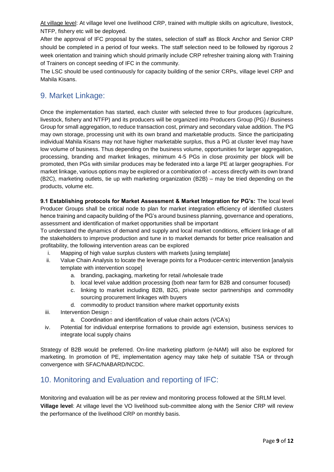At village level: At village level one livelihood CRP, trained with multiple skills on agriculture, livestock, NTFP, fishery etc will be deployed.

After the approval of IFC proposal by the states, selection of staff as Block Anchor and Senior CRP should be completed in a period of four weeks. The staff selection need to be followed by rigorous 2 week orientation and training which should primarily include CRP refresher training along with Training of Trainers on concept seeding of IFC in the community.

The LSC should be used continuously for capacity building of the senior CRPs, village level CRP and Mahila Kisans.

# 9. Market Linkage:

Once the implementation has started, each cluster with selected three to four produces (agriculture, livestock, fishery and NTFP) and its producers will be organized into Producers Group (PG) / Business Group for small aggregation, to reduce transaction cost, primary and secondary value addition. The PG may own storage, processing unit with its own brand and marketable products. Since the participating individual Mahila Kisans may not have higher marketable surplus, thus a PG at cluster level may have low volume of business. Thus depending on the business volume, opportunities for larger aggregation, processing, branding and market linkages, minimum 4-5 PGs in close proximity per block will be promoted, then PGs with similar produces may be federated into a large PE at larger geographies. For market linkage, various options may be explored or a combination of - access directly with its own brand (B2C), marketing outlets, tie up with marketing organization (B2B) – may be tried depending on the products, volume etc.

**9.1 Establishing protocols for Market Assessment & Market Integration for PG's:** The local level Producer Groups shall be critical node to plan for market integration efficiency of identified clusters hence training and capacity building of the PG's around business planning, governance and operations, assessment and identification of market opportunities shall be important

To understand the dynamics of demand and supply and local market conditions, efficient linkage of all the stakeholders to improve production and tune in to market demands for better price realisation and profitability, the following intervention areas can be explored

- i. Mapping of high value surplus clusters with markets [using template]
- ii. Value Chain Analysis to locate the leverage points for a Producer-centric intervention [analysis template with intervention scope]
	- a. branding, packaging, marketing for retail /wholesale trade
	- b. local level value addition processing (both near farm for B2B and consumer focused)
	- c. linking to market including B2B, B2G, private sector partnerships and commodity sourcing procurement linkages with buyers
	- d. commodity to product transition where market opportunity exists
- iii. Intervention Design :
	- a. Coordination and identification of value chain actors (VCA's)
- iv. Potential for individual enterprise formations to provide agri extension, business services to integrate local supply chains

Strategy of B2B would be preferred. On-line marketing platform (e-NAM) will also be explored for marketing. In promotion of PE, implementation agency may take help of suitable TSA or through convergence with SFAC/NABARD/NCDC.

# 10. Monitoring and Evaluation and reporting of IFC:

Monitoring and evaluation will be as per review and monitoring process followed at the SRLM level. **Village level**: At village level the VO livelihood sub-committee along with the Senior CRP will review the performance of the livelihood CRP on monthly basis.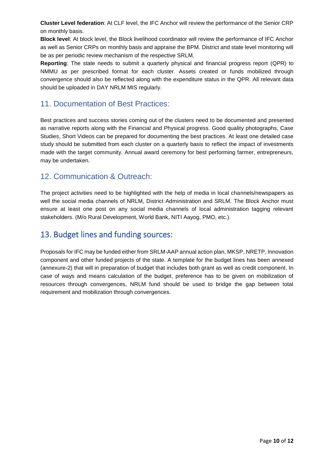**Cluster Level federation**: At CLF level, the IFC Anchor will review the performance of the Senior CRP on monthly basis.

**Block level**: At block level, the Block livelihood coordinator will review the performance of IFC Anchor as well as Senior CRPs on monthly basis and appraise the BPM. District and state level monitoring will be as per periodic review mechanism of the respective SRLM.

**Reporting**: The state needs to submit a quarterly physical and financial progress report (QPR) to NMMU as per prescribed format for each cluster. Assets created or funds mobilized through convergence should also be reflected along with the expenditure status in the QPR. All relevant data should be uploaded in DAY NRLM MIS regularly.

# 11. Documentation of Best Practices:

Best practices and success stories coming out of the clusters need to be documented and presented as narrative reports along with the Financial and Physical progress. Good quality photographs, Case Studies, Short Videos can be prepared for documenting the best practices. At least one detailed case study should be submitted from each cluster on a quarterly basis to reflect the impact of investments made with the target community. Annual award ceremony for best performing farmer, entrepreneurs, may be undertaken.

## 12. Communication & Outreach:

The project activities need to be highlighted with the help of media in local channels/newspapers as well the social media channels of NRLM, District Administration and SRLM. The Block Anchor must ensure at least one post on any social media channels of local administration tagging relevant stakeholders. (M/o Rural Development, World Bank, NITI Aayog, PMO, etc.).

# 13. Budget lines and funding sources:

Proposals for IFC may be funded either from SRLM-AAP annual action plan, MKSP, NRETP, Innovation component and other funded projects of the state. A template for the budget lines has been annexed (annexure-2) that will in preparation of budget that includes both grant as well as credit component. In case of ways and means calculation of the budget, preference has to be given on mobilization of resources through convergences, NRLM fund should be used to bridge the gap between total requirement and mobilization through convergences.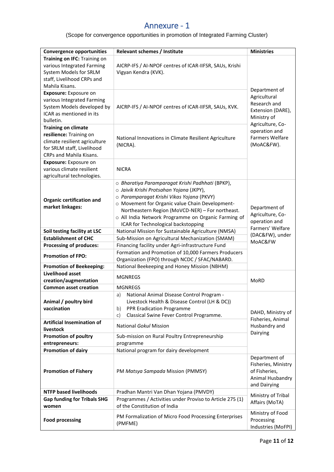# Annexure - 1

(Scope for convergence opportunities in promotion of Integrated Farming Cluster)

| <b>Convergence opportunities</b>                         | Relevant schemes / Institute                                                                   | <b>Ministries</b>                      |  |  |
|----------------------------------------------------------|------------------------------------------------------------------------------------------------|----------------------------------------|--|--|
| Training on IFC: Training on                             |                                                                                                |                                        |  |  |
| various Integrated Farming                               | AICRP-IFS / AI-NPOF centres of ICAR-IIFSR, SAUs, Krishi                                        |                                        |  |  |
| System Models for SRLM                                   | Vigyan Kendra (KVK).                                                                           |                                        |  |  |
| staff, Livelihood CRPs and                               |                                                                                                |                                        |  |  |
| Mahila Kisans.                                           |                                                                                                | Department of                          |  |  |
| Exposure: Exposure on                                    |                                                                                                | Agricultural                           |  |  |
| various Integrated Farming                               |                                                                                                | Research and                           |  |  |
| System Models developed by                               | AICRP-IFS / AI-NPOF centres of ICAR-IIFSR, SAUs, KVK.                                          | Extension (DARE),                      |  |  |
| ICAR as mentioned in its                                 |                                                                                                | Ministry of                            |  |  |
| bulletin.                                                |                                                                                                | Agriculture, Co-                       |  |  |
| <b>Training on climate</b>                               |                                                                                                | operation and                          |  |  |
| resilience: Training on<br>climate resilient agriculture | National Innovations in Climate Resilient Agriculture                                          | <b>Farmers Welfare</b>                 |  |  |
| for SRLM staff, Livelihood                               | (NICRA).                                                                                       | (MoAC&FW).                             |  |  |
| CRPs and Mahila Kisans.                                  |                                                                                                |                                        |  |  |
| <b>Exposure:</b> Exposure on                             |                                                                                                |                                        |  |  |
| various climate resilient                                | <b>NICRA</b>                                                                                   |                                        |  |  |
| agricultural technologies.                               |                                                                                                |                                        |  |  |
|                                                          | o Bharatiya Paramparagat Krishi Padhhati (BPKP),                                               |                                        |  |  |
|                                                          | o Jaivik Krishi Protsahan Yojana (JKPY),                                                       |                                        |  |  |
| <b>Organic certification and</b>                         | o Paramparagat Krishi Vikas Yojana (PKVY)                                                      |                                        |  |  |
| market linkages:                                         | o Movement for Organic value Chain Development-                                                |                                        |  |  |
|                                                          | Northeastern Region (MoVCD-NER) - For northeast.                                               | Department of<br>Agriculture, Co-      |  |  |
|                                                          | o All India Network Programme on Organic Farming of                                            | operation and                          |  |  |
|                                                          | ICAR for Technological backstopping                                                            | Farmers' Welfare                       |  |  |
| Soil testing facility at LSC                             | National Mission for Sustainable Agriculture (NMSA)                                            | (DAC&FW), under<br>MoAC&FW             |  |  |
| <b>Establishment of CHC</b>                              | Sub-Mission on Agricultural Mechanization (SMAM)                                               |                                        |  |  |
| <b>Processing of produces:</b>                           | Financing facility under Agri-infrastructure Fund                                              |                                        |  |  |
| <b>Promotion of FPO:</b>                                 | Formation and Promotion of 10,000 Farmers Producers                                            |                                        |  |  |
| <b>Promotion of Beekeeping:</b>                          | Organization (FPO) through NCDC / SFAC/NABARD.<br>National Beekeeping and Honey Mission (NBHM) |                                        |  |  |
| <b>Livelihood asset</b>                                  |                                                                                                |                                        |  |  |
| creation/augmentation                                    | <b>MGNREGS</b>                                                                                 | <b>MoRD</b>                            |  |  |
| <b>Common asset creation</b>                             | <b>MGNREGS</b>                                                                                 |                                        |  |  |
|                                                          | National Animal Disease Control Program -<br>a)                                                |                                        |  |  |
| Animal / poultry bird                                    | Livestock Health & Disease Control (LH & DC))                                                  |                                        |  |  |
| vaccination                                              | PPR Eradication Programme<br>b)                                                                |                                        |  |  |
|                                                          | Classical Swine Fever Control Programme.<br>C)                                                 | DAHD, Ministry of<br>Fisheries, Animal |  |  |
| <b>Artificial Insemination of</b>                        | National Gokul Mission                                                                         | Husbandry and                          |  |  |
| livestock                                                |                                                                                                | Dairying                               |  |  |
| <b>Promotion of poultry</b>                              | Sub-mission on Rural Poultry Entrepreneurship                                                  |                                        |  |  |
| entrepreneurs:                                           | programme                                                                                      |                                        |  |  |
| <b>Promotion of dairy</b>                                | National program for dairy development                                                         |                                        |  |  |
|                                                          |                                                                                                | Department of                          |  |  |
| <b>Promotion of Fishery</b>                              | PM Matsya Sampada Mission (PMMSY)                                                              | Fisheries, Ministry<br>of Fisheries,   |  |  |
|                                                          |                                                                                                | Animal Husbandry                       |  |  |
|                                                          |                                                                                                | and Dairying                           |  |  |
| <b>NTFP based livelihoods</b>                            | Pradhan Mantri Van Dhan Yojana (PMVDY)                                                         |                                        |  |  |
| <b>Gap funding for Tribals SHG</b>                       | Programmes / Activities under Proviso to Article 275 (1)                                       | Ministry of Tribal                     |  |  |
| women                                                    | of the Constitution of India                                                                   | Affairs (MoTA)                         |  |  |
|                                                          |                                                                                                | Ministry of Food                       |  |  |
| <b>Food processing</b>                                   | PM Formalization of Micro Food Processing Enterprises                                          | Processing                             |  |  |
|                                                          | (PMFME)                                                                                        | Industries (MoFPI)                     |  |  |